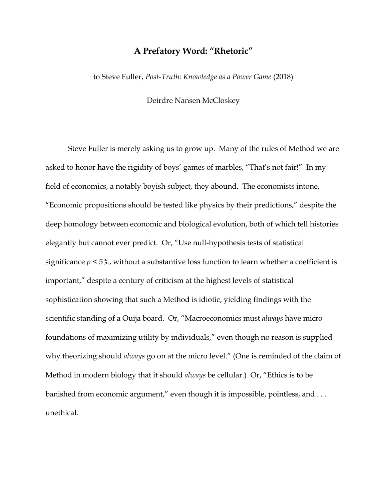## **A Prefatory Word: "Rhetoric"**

to Steve Fuller, *Post-Truth: Knowledge as a Power Game* (2018)

Deirdre Nansen McCloskey

Steve Fuller is merely asking us to grow up. Many of the rules of Method we are asked to honor have the rigidity of boys' games of marbles, "That's not fair!" In my field of economics, a notably boyish subject, they abound. The economists intone, "Economic propositions should be tested like physics by their predictions," despite the deep homology between economic and biological evolution, both of which tell histories elegantly but cannot ever predict. Or, "Use null-hypothesis tests of statistical significance *p* < 5%, without a substantive loss function to learn whether a coefficient is important," despite a century of criticism at the highest levels of statistical sophistication showing that such a Method is idiotic, yielding findings with the scientific standing of a Ouija board. Or, "Macroeconomics must *always* have micro foundations of maximizing utility by individuals," even though no reason is supplied why theorizing should *always* go on at the micro level." (One is reminded of the claim of Method in modern biology that it should *always* be cellular.) Or, "Ethics is to be banished from economic argument," even though it is impossible, pointless, and ... unethical.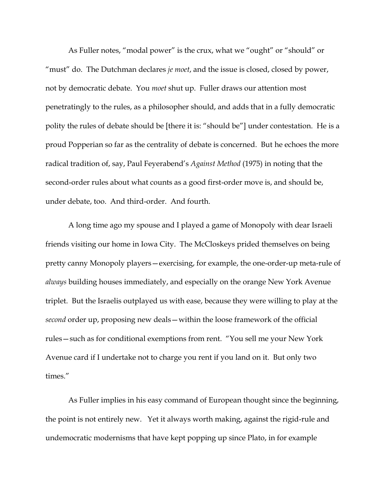As Fuller notes, "modal power" is the crux, what we "ought" or "should" or "must" do. The Dutchman declares *je moet*, and the issue is closed, closed by power, not by democratic debate. You *moet* shut up. Fuller draws our attention most penetratingly to the rules, as a philosopher should, and adds that in a fully democratic polity the rules of debate should be [there it is: "should be"] under contestation. He is a proud Popperian so far as the centrality of debate is concerned. But he echoes the more radical tradition of, say, Paul Feyerabend's *Against Method* (1975) in noting that the second-order rules about what counts as a good first-order move is, and should be, under debate, too. And third-order. And fourth.

A long time ago my spouse and I played a game of Monopoly with dear Israeli friends visiting our home in Iowa City. The McCloskeys prided themselves on being pretty canny Monopoly players—exercising, for example, the one-order-up meta-rule of *always* building houses immediately, and especially on the orange New York Avenue triplet. But the Israelis outplayed us with ease, because they were willing to play at the *second* order up, proposing new deals—within the loose framework of the official rules—such as for conditional exemptions from rent. "You sell me your New York Avenue card if I undertake not to charge you rent if you land on it. But only two times."

As Fuller implies in his easy command of European thought since the beginning, the point is not entirely new. Yet it always worth making, against the rigid-rule and undemocratic modernisms that have kept popping up since Plato, in for example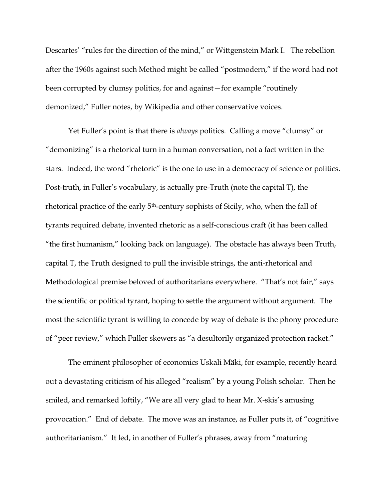Descartes' "rules for the direction of the mind," or Wittgenstein Mark I. The rebellion after the 1960s against such Method might be called "postmodern," if the word had not been corrupted by clumsy politics, for and against—for example "routinely demonized," Fuller notes, by Wikipedia and other conservative voices.

Yet Fuller's point is that there is *always* politics. Calling a move "clumsy" or "demonizing" is a rhetorical turn in a human conversation, not a fact written in the stars. Indeed, the word "rhetoric" is the one to use in a democracy of science or politics. Post-truth, in Fuller's vocabulary, is actually pre-Truth (note the capital T), the rhetorical practice of the early 5<sup>th</sup>-century sophists of Sicily, who, when the fall of tyrants required debate, invented rhetoric as a self-conscious craft (it has been called "the first humanism," looking back on language). The obstacle has always been Truth, capital T, the Truth designed to pull the invisible strings, the anti-rhetorical and Methodological premise beloved of authoritarians everywhere. "That's not fair," says the scientific or political tyrant, hoping to settle the argument without argument. The most the scientific tyrant is willing to concede by way of debate is the phony procedure of "peer review," which Fuller skewers as "a desultorily organized protection racket."

The eminent philosopher of economics Uskali Mäki, for example, recently heard out a devastating criticism of his alleged "realism" by a young Polish scholar. Then he smiled, and remarked loftily, "We are all very glad to hear Mr. X-skis's amusing provocation." End of debate. The move was an instance, as Fuller puts it, of "cognitive authoritarianism." It led, in another of Fuller's phrases, away from "maturing